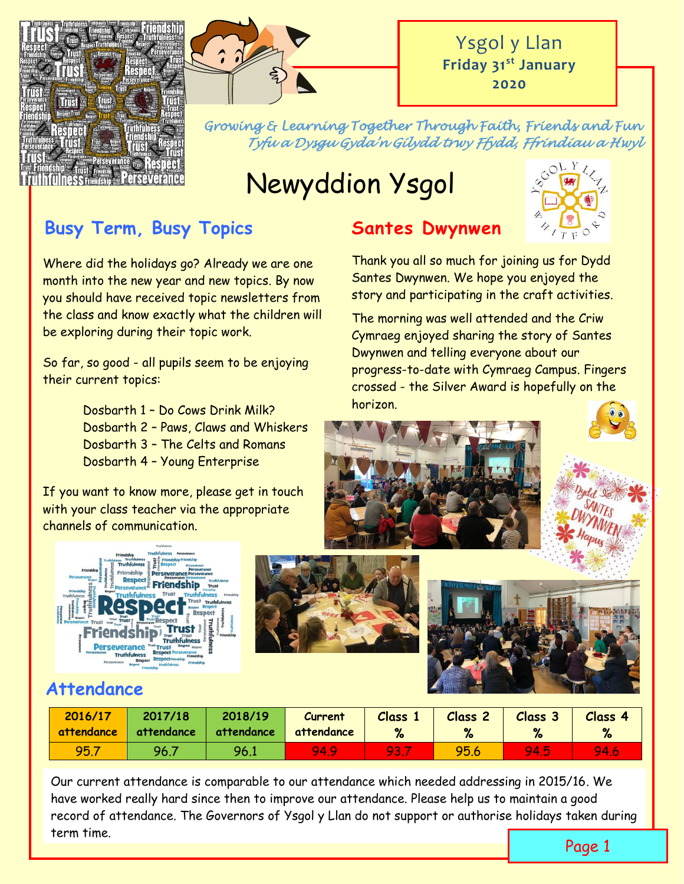



*Growing & Learning Together Through Faith, Friends and Fun Tyfu a Dysgu Gyda'n Gilydd trwy Ffydd, Ffrindiau a Hwyl* 

# Newyddion Ysgol

# **Busy Term, Busy Topics**

Where did the holidays go? Already we are one month into the new year and new topics. By now you should have received topic newsletters from the class and know exactly what the children will be exploring during their topic work.

So far, so good - all pupils seem to be enjoying their current topics:

> Dosbarth 1 – Do Cows Drink Milk? Dosbarth 2 – Paws, Claws and Whiskers Dosbarth 3 – The Celts and Romans Dosbarth 4 – Young Enterprise

If you want to know more, please get in touch with your class teacher via the appropriate channels of communication.







### **Santes Dwynwen**

Thank you all so much for joining us for Dydd Santes Dwynwen. We hope you enjoyed the story and participating in the craft activities.

The morning was well attended and the Criw Cymraeg enjoyed sharing the story of Santes Dwynwen and telling everyone about our progress-to-date with Cymraeg Campus. Fingers crossed - the Silver Award is hopefully on the horizon.







### **Attendance**

| 2016/17    | 2017/18    | 2018/19    | <b>Current</b> | <b>Class 1</b> | Class <sub>2</sub> | Class 3     | Class 4 |
|------------|------------|------------|----------------|----------------|--------------------|-------------|---------|
| attendance | attendance | attendance | attendance     | %              | $\mathbf{v}$       | %           | %       |
| 95.        | 96.        | 96.1       | 94.9           | 93.            | 95.6               | <b>94.5</b> | 94.6    |

Our current attendance is comparable to our attendance which needed addressing in 2015/16. We have worked really hard since then to improve our attendance. Please help us to maintain a good record of attendance. The Governors of Ysgol y Llan do not support or authorise holidays taken during term time.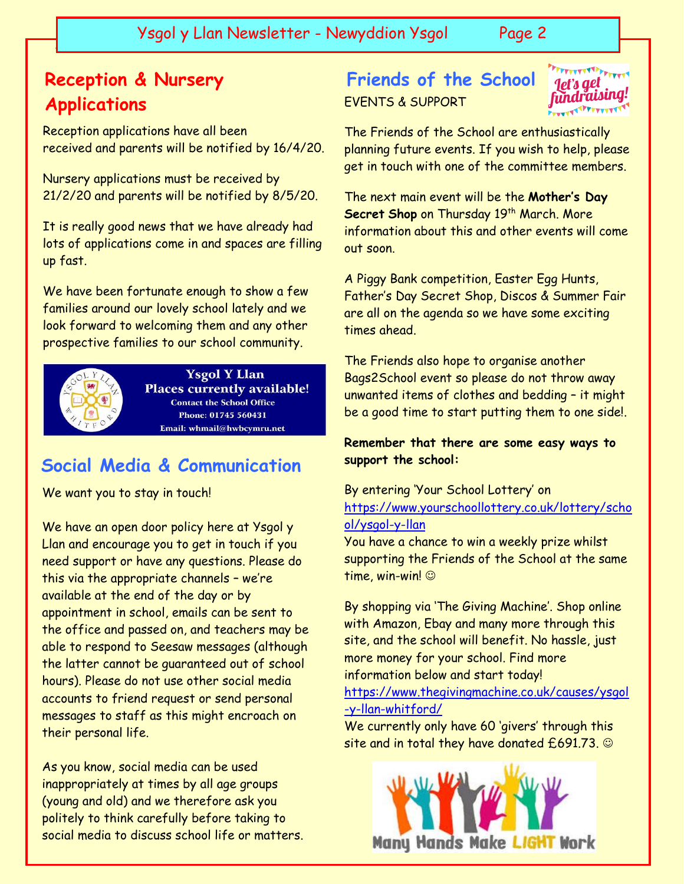Ysgol y Llan Newsletter - Newyddion Ysgol Page 2

# **Reception & Nursery Applications**

 $\overline{\phantom{a}}$ 

Reception applications have all been received and parents will be notified by 16/4/20.

Nursery applications must be received by 21/2/20 and parents will be notified by 8/5/20.

It is really good news that we have already had lots of applications come in and spaces are filling up fast.

We have been fortunate enough to show a few families around our lovely school lately and we look forward to welcoming them and any other prospective families to our school community.



**Ysgol Y Llan Places currently available! Contact the School Office** Phone: 01745 560431 Email: whmail@hwbcymru.net

### **Social Media & Communication**

We want you to stay in touch!

We have an open door policy here at Ysgol y Llan and encourage you to get in touch if you need support or have any questions. Please do this via the appropriate channels – we're available at the end of the day or by appointment in school, emails can be sent to the office and passed on, and teachers may be able to respond to Seesaw messages (although the latter cannot be guaranteed out of school hours). Please do not use other social media accounts to friend request or send personal messages to staff as this might encroach on their personal life.

As you know, social media can be used inappropriately at times by all age groups (young and old) and we therefore ask you politely to think carefully before taking to social media to discuss school life or matters.

# EVENTS & SUPPORT **Friends of the School**

let's get fundraising!

The Friends of the School are enthusiastically planning future events. If you wish to help, please get in touch with one of the committee members.

The next main event will be the **Mother's Day Secret Shop** on Thursday 19 th March. More information about this and other events will come out soon.

A Piggy Bank competition, Easter Egg Hunts, Father's Day Secret Shop, Discos & Summer Fair are all on the agenda so we have some exciting times ahead.

The Friends also hope to organise another Bags2School event so please do not throw away unwanted items of clothes and bedding – it might be a good time to start putting them to one side!.

**Remember that there are some easy ways to support the school:**

#### By entering 'Your School Lottery' on [https://www.yourschoollottery.co.uk/lottery/scho](https://www.yourschoollottery.co.uk/lottery/school/ysgol-y-llan) [ol/ysgol-y-llan](https://www.yourschoollottery.co.uk/lottery/school/ysgol-y-llan)

You have a chance to win a weekly prize whilst supporting the Friends of the School at the same time, win-win!

By shopping via 'The Giving Machine'. Shop online with Amazon, Ebay and many more through this site, and the school will benefit. No hassle, just more money for your school. Find more information below and start today! [https://www.thegivingmachine.co.uk/causes/ysgol](https://www.thegivingmachine.co.uk/causes/ysgol-y-llan-whitford/) [-y-llan-whitford/](https://www.thegivingmachine.co.uk/causes/ysgol-y-llan-whitford/) 

We currently only have 60 'givers' through this site and in total they have donated  $£691.73. ©$ 

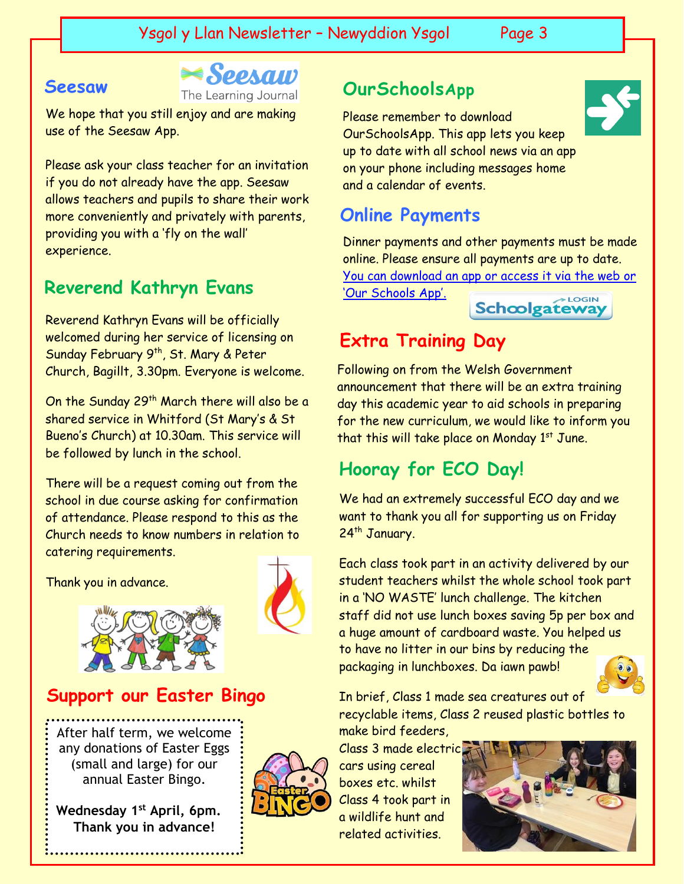#### **Seesaw**

The Learning Journal

We hope that you still enjoy and are making use of the Seesaw App.

Please ask your class teacher for an invitation if you do not already have the app. Seesaw allows teachers and pupils to share their work more conveniently and privately with parents, providing you with a 'fly on the wall' experience.

### **Reverend Kathryn Evans**

Reverend Kathryn Evans will be officially welcomed during her service of licensing on Sunday February 9<sup>th</sup>, St. Mary & Peter Church, Bagillt, 3.30pm. Everyone is welcome.

On the Sunday 29<sup>th</sup> March there will also be a shared service in Whitford (St Mary's & St Bueno's Church) at 10.30am. This service will be followed by lunch in the school.

There will be a request coming out from the school in due course asking for confirmation of attendance. Please respond to this as the Church needs to know numbers in relation to catering requirements.

Thank you in advance.



### **Support our Easter Bingo**

After half term, we welcome any donations of Easter Eggs (small and large) for our annual Easter Bingo.

**Wednesday 1st April, 6pm. Thank you in advance!**



## **OurSchoolsApp**

Please remember to download OurSchoolsApp. This app lets you keep up to date with all school news via an app on your phone including messages home and a calendar of events.

### **Online Payments**

Dinner payments and other payments must be made online. Please ensure all payments are up to date. [You can download an app or access it via the web or](https://login.schoolgateway.com/0/auth/login) 

['Our Schools App'.](https://login.schoolgateway.com/0/auth/login)



# **Extra Training Day**

Following on from the Welsh Government announcement that there will be an extra training day this academic year to aid schools in preparing for the new curriculum, we would like to inform you that this will take place on Monday  $1<sup>st</sup>$  June.

# **Hooray for ECO Day!**

We had an extremely successful ECO day and we want to thank you all for supporting us on Friday 24<sup>th</sup> January.

Each class took part in an activity delivered by our student teachers whilst the whole school took part in a 'NO WASTE' lunch challenge. The kitchen staff did not use lunch boxes saving 5p per box and a huge amount of cardboard waste. You helped us to have no litter in our bins by reducing the packaging in lunchboxes. Da iawn pawb!



#### In brief, Class 1 made sea creatures out of recyclable items, Class 2 reused plastic bottles to make bird feeders,

Class 3 made electric cars using cereal boxes etc. whilst Class 4 took part in a wildlife hunt and related activities.